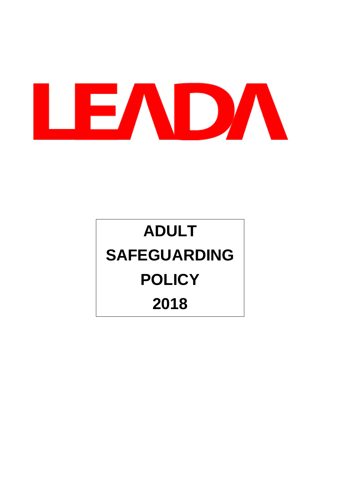

# **ADULT SAFEGUARDING POLICY 2018**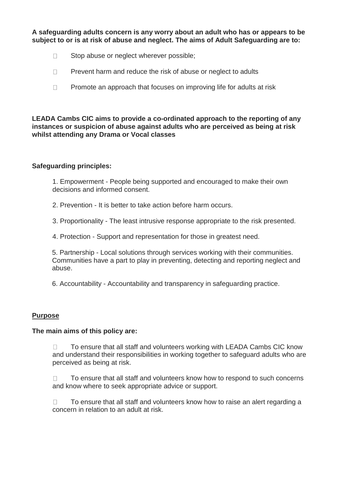**A safeguarding adults concern is any worry about an adult who has or appears to be subject to or is at risk of abuse and neglect. The aims of Adult Safeguarding are to:**

- $\Box$  Stop abuse or neglect wherever possible;
- $\Box$  Prevent harm and reduce the risk of abuse or neglect to adults
- $\Box$  Promote an approach that focuses on improving life for adults at risk

**LEADA Cambs CIC aims to provide a co-ordinated approach to the reporting of any instances or suspicion of abuse against adults who are perceived as being at risk whilst attending any Drama or Vocal classes**

### **Safeguarding principles:**

1. Empowerment - People being supported and encouraged to make their own decisions and informed consent.

2. Prevention - It is better to take action before harm occurs.

3. Proportionality - The least intrusive response appropriate to the risk presented.

4. Protection - Support and representation for those in greatest need.

5. Partnership - Local solutions through services working with their communities. Communities have a part to play in preventing, detecting and reporting neglect and abuse.

6. Accountability - Accountability and transparency in safeguarding practice.

### **Purpose**

### **The main aims of this policy are:**

 $\Box$  To ensure that all staff and volunteers working with LEADA Cambs CIC know and understand their responsibilities in working together to safeguard adults who are perceived as being at risk.

 $\Box$  To ensure that all staff and volunteers know how to respond to such concerns and know where to seek appropriate advice or support.

 $\Box$  To ensure that all staff and volunteers know how to raise an alert regarding a concern in relation to an adult at risk.